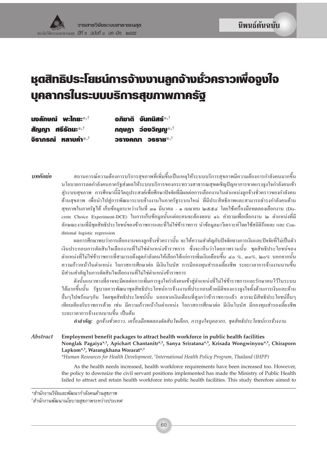# หุตสิทธิประโยชน์การจ้างงานลูกจ้าง**มั่วคราวเพื่อ**จูงใจ บุคลากรในระบบบริการสุขภาพภาครัฐ

| นงลักษณ์ พะไกยะ $^{*,\dagger}$ | ือภิชาติ จันทนิสร์* <sup>,†</sup> |
|--------------------------------|-----------------------------------|
| สัญญา ศรีรัตนะ $^{*,\dagger}$  | กฤษฎา ว่องวิญญ $*^{\dagger}$      |
| จิราภรณ์ หลาบคำ $^{*,\dagger}$ | วรางคณา วรราช $^{*,\dagger}$      |

สถานการณ์ความต้องการบริการสุขภาพที่เพิ่มขึ้นเป็นเหตุให้ระบบบริการสุขภาพมีความต้องการกำลังคนมากขึ้น บทคัดย่อ นโยบายการลดกำลังคนภาครัฐส่งผลให้ระบบบริการของกระทรวงสาธารณสขเผชิญปัญหาการขาดแรงจงใจกำลังคนเข้า ส่ระบบสขภาพ การศึกษานี้มีวัตถประสงค์เพื่อศึกษาปัจจัยที่มีผลต่อการเลือกงานในตำแหน่งลกจ้างชั่วคราวของกำลังคน ้ด้านสขภาพ เพื่อนำไปส่การพัฒนาระบบจ้างงานในภาครัฐระบบใหม่ ที่มีประสิทธิภาพและสามารถธำรงกำลังคนด้าน สุขภาพในภาครัฐได้ เก็บข้อมูลระหว่างวันที่ ๑๑ มีนาคม - ๑ เมษายน ๒๕๕๔ โดยใช้เครื่องมือทดลองเลือกงาน (Discrete Choice Experiment-DCE) ในการเก็บข้อมูลนั้นแต่ละคนจะต้องตอบ ๑๖ คำถามเพื่อเลือกงาน ๒ ตำแหน่งที่มี ลักษณะงานที่มีชุดสิทธิประโยชน์ของข้าราชการและที่ไม่ใช่ข้าราชการ นำข้อมูลมาวิเคราะห์โดยใช้สถิติร้อยละ และ Conditional logistic regression

> ผลการศึกษาพบว่าการเลือกงานของลกจ้างชั่วคราวนั้น จะให้ความสำคัญกับปัจจัยทางการเงินและปัจจัยที่ไม่เป็นตัว เงินประกอบการตัดสินใจเลือกงานที่ไม่ใช่ตำแหน่งข้าราชการ ซึ่งจะเห็นว่าโดยภาพรวมนั้น ชดสิทธิประโยชน์ของ ตำแหน่งที่ไม่ใช่ข้าราชการที่สามารถดึงคดกำลังคนให้เลือกได้แก่การเพิ่มเงินเดือนขึ้น ๔๐ %, ๓๐%, ๒๐% นอกจากนั้น ้ความก้าวหน้าในตำแหน่ง โอกาสการศึกษาต่อ มีเงินโบนัส การมีกองทนสำรองเลี้ยงชีพ ระยะเวลาการจ้างงานนานขึ้น มีส่วนสำคัญในการตัดสินใจเลือกงานที่ไม่ใช่ตำแหน่งข้าราชการ

> ดังนั้นแนวทางที่อาจจะมีผลต่อการเพิ่มการจงใจกำลังคนเข้าส่ตำแหน่งที่ไม่ใช่ข้าราชการและรักษาคนไว้ในระบบ ใค้มากขึ้นนั้น รัฐบาลควรพัฒนาชดสิทธิประโยชน์การจ้างงานที่ประกอบค้วยมิติของแรงจงใจทั้งค้านการเงินและค้าน อื่นๆไปพร้อมๆกัน โดยชุดสิทธิประโยชน์นั้น นอกจากเงินเดือนที่สูงกว่าข้าราชการแล้ว ควรจะมีสิทธิประโยชน์อื่นๆ ้เทียบเคียงกับราชการด้วย เช่น มีความก้าวหน้าในตำแหน่ง โอกาสการศึกษาต่อ มีเงินโบนัส มีกองทนสำรองเลี้ยงชีพ ระยะเวลาการจ้างงานนานขึ้น เป็นต้น

คำสำคัญ: ลูกจ้างชั่วคราว, เครื่องมือทดลองตัดสินใจเลือก, การจูงใจบุคลากร, ชุดสิทธิประโยชน์การจ้างงาน

Abstract Employment benefit packages to attract health workforce in public health facilities Nonglak Pagaiya\*,<sup>†</sup>, Apichart Chantanitr\*,<sup>†</sup>, Sanya Sriratana\*,<sup>†</sup>, Krisada Wongwinyou\*,<sup>†</sup>, Chiraporn Lapkom<sup>\*,†</sup>, Warangkhana Worarat<sup>\*,†</sup>

\*Human Resources for Health Development, †International Health Policy Program, Thailand (IHPP)

As the health needs increased, health workforce requirements have been increased too. However, the policy to downsize the civil servant positions implemented has made the Ministry of Public Health failed to attract and retain health workforce into public health facilities. This study therefore aimed to

\*สำนักงานวิจัยและพัฒนากำลังคนด้านสุขภาพ

<sup>&</sup>lt;sup>†</sup>สำนักงานพัฒนานโยบายสุขภาพระหว่างประเทศ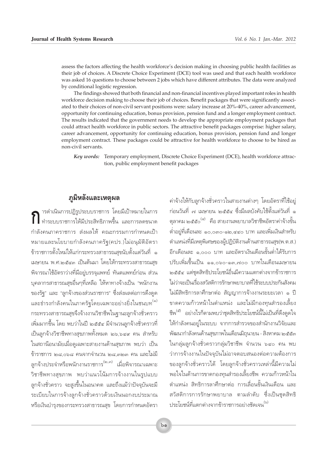assess the factors affecting the health workforce's decision making in choosing public health facilities as their job of choices. A Discrete Choice Experiment (DCE) tool was used and that each health workforce was asked 16 questions to choose between 2 jobs which have different attributes. The data were analyzed by conditional logistic regression.

The findings showed that both financial and non-financial incentives played important roles in health workforce decision making to choose their job of choices. Benefit packages that were significantly associated to their choices of non-civil servant positions were: salary increase at 20%-40%, career advancement, opportunity for continuing education, bonus provision, pension fund and a longer employment contract. The results indicated that the government needs to develop the appropriate employment packages that could attract health workforce in public sectors. The attractive benefit packages comprise: higher salary, career advancement, opportunity for continuing education, bonus provision, pension fund and longer employment contract. These packages could be attractive for health workforce to choose to be hired as non-civil servants.

*Key words:* Temporary employment, Discrete Choice Experiment (DCE), health workforce attraction, public employment benefit packages

## $\overline{\mathbf{z}}$ ุมิหลังและเหตุผล

ารดำเนินการปฏิรูประบบราชการ โดยมีเป้าหมายในการ  $\sum_{j=1}^{\infty} \frac{1}{j}$ ารดำเนินการปฏิรูประบบราชการ โดยมีเป้าหมายในการ<br>พำระบบราชการให้มีประสิทธิภาพขึ้น และการลดขนาด กำลังคนภาคราชการ ส่งผลให้ คณะกรรมการกำหนดเป้า ทมายและนโยบายกำลังคนภาครัฐ(คปร.)ไม่อนุมัติอัตรา ู้ข้าราชการตั้งใหม่ให้แก่กระทรวงสาธารณสุขนับตั้งแต่วันที่ ๑ เมษายน พ.ศ.๒๕๔๓ เป็นต้นมา โดยให้กระทรวงสาธารณสุข พิจารณาใช้อัตราว่างที่มีอยู่บรรจุแพทย์ ทันตแพทย์ก่อน ส่วน ับุคลากรสาธารณสุขอื่นๆที่เหลือ ให้หาทางจ้างเป็น "พนักงาน ของรัฐ" และ "ลูกจ้างของส่วนราชการ" ซึ่งส่งผลต่อการดึงดูด และธำรงกำลังคนในภาครัฐโดยเฉพาะอย่างยิ่งในชนบท<sup>(๑)</sup> ำาระทรวงสาธารณสุขจึงจ้างงานวิชาชีพในฐานะลูกจ้างชั่วคราว เพิ่มมากขึ้น โดย พบว่าในปี ๒๕๕๔ มีจำนวนลูกจ้างชั่วคราวที่ เป็นลูกจ้างวิชาชีพทางสุขภาพทั้งหมด ๒๖,๖๔๙ คน สำหรับ ในสถานีอนามัยเมื่อดูเฉพาะสายงานด้านสุขภาพ พบว่า เป็น ู้ข้าราชการ ๒๘,๐๖๘ คนจากจำนวน ๒๘,๓๒๓ คน และไม่มี ลูกจ้างประจำหรือพนักงานราชการ<sup>(๒,๓)</sup> เมื่อพิจารณาเฉพาะ วิชาชีพทางสุขภาพ พบว่าแนวโน้มการจ้างงานในรูปแบบ ฐกจ้างชั่วคราว จะสูงขึ้นในอนาคต และถึงแม้ว่าปัจจุบันจะมี ้ระเบียบในการจ้างลูกจ้างชั่วคราวด้วยเงินนอกงบประมาณ หรือเงินบำรุงของกระทรวงสาธารณสุข โดยการกำหนดอัตรา

์ ค่าจ้างให้กับลูกจ้างชั่วคราวในสายงานต่างๆ โดยอัตราที่ใช้อยู่ ู้ ก่อนวันที่ ๗ เมษายน ๒๕๕๔ ซึ่งมีผลบังคับใช้ตั้งแต่วันที่ ๑ ตุลาคม ๒๕๕๐ $^{\left(\alpha\right)}$  คือ สายงานพยาบาลวิชาชีพอัตราค่าจ้างขั้น ู้ต่ำอยู่ที่เดือนละ ๑๐,๐๓๐-๑๒,๔๔๐ บาท และเพิ่มเงินสำหรับ ตำแหน่งที่มีเหตุพิเศษของผู้ปฏิบัติงานด้านสาธารณสุข(พ.ต.ส.) อีกเดือนละ ๑,๐๐๐ บาท และอัตราเงินเดือนขั้นต่ำได้รับการ ้<br>ปรับเพิ่มขึ้นเป็น ๑๑,๐๖๐-๑๓,๗๐๐ บาทในเดือนเมษายน ๒๕๕๔ แต่ชุดสิทธิประโยชน์อื่นมีความแตกต่างจากข้าราชการ ไม่ว่าจะเป็นเรื่องสวัสดิการรักษาพยาบาลที่ใช้ระบบประกันสังคม ์ 'ไม่มีสิทธิการลาศึกษาต่อ สัญญาการจ้างงานระยะเวลา ๑ ปี ขาดความก้าวหน้าในตำแหน่ง และไม่มีกองทุนสำรองเลี้ยง  $\left.\vec{\tilde{a}}^{\text{w}}\right|$ ี อย่างไรก็ตามพบว่าชุดสิทธิประโยชน์นี้ไม่เป็นที่ดึงดูดใจ ให้กำลังคนอยู่ในระบบ จากการสำรวจของสำนักงานวิจัยและ พัฒนากำลังคนด้านสุขภาพในเดือนมิถุนายน - สิงหาคม ๒๕๕๓ ในกลุ่มลูกจ้างชั่วคราวกลุ่มวิชาชีพ จำนวน ๖๔๐ คน พบ ้ว่าการจ้างงานในปัจจุบันไม่อาจตอบสนองต่อความต้องการ ของลูกจ้างชั่วคราวได้ โดยลูกจ้างชั่วคราวเหล่านี้มีความไม่ พอใจในด้านการขาดกองทุนสำรองเลี้ยงชีพ ความก้าวหน้าใน ตำแหน่ง สิทธิการลาศึกษาต่อ การเลื่อนขั้นเงินเดือน และ สวัสดิการการรักษาพยาบาล ตามลำดับ ซึ่งเป็นชุดสิทธิ ประโยชน์ที่แตกต่างจากข้าราชการอย่างชัดเจน<sup>(๖)</sup>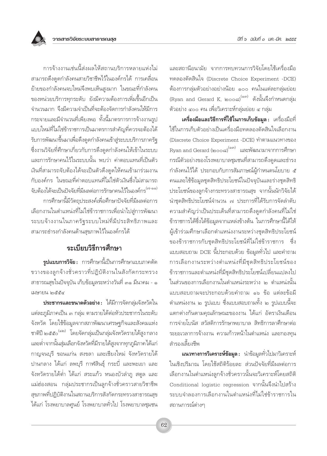และสถานีอนามัย จากการทบทวนการวิจัยโดยใช้เครื่องมือ ทดลองตัดสินใจ (Discrete Choice Experiment -DCE) ต้องการกลุ่มตัวอย่างอย่างน้อย ๑๐๐ คนในแต่ละกลุ่มย่อย (Ryan and Gerard K, ๒๐๐๘) $^{(\circ\,\text{m})}$  ดังนั้นจึงกำหนดกลุ่ม ตัวอย่าง ๔๐๐ คน เพื่อวิเคราะห์กลุ่มย่อย ๔ กลุ่ม

เครื่องมือและวิธีการที่ใช้ในการเก็บข้อมูล : เครื่องมือที่ ใช้ในการเก็บตัวอย่างเป็นเครื่องมือทดลองตัดสินใจเลือกงาน (Discrete Choice Experiment -DCE) ทำตามแนวทางของ Ryan and Gerard (๒๐๐๘)<sup>(๑๓)</sup> และพัฒนามาจากการศึกษา กรณีตัวอย่างของโรงพยาบาลชุมชนที่สามารถดึงดูดและธำรง กำลังคนไว้ได้ ประกอบกับการสัมภาษณ์ผู้กำหนดนโยบาย ๕ คนและใช้ข้อมูลชุดสิทธิประโยชน์ในปัจจุบันและร่างชุดสิทธิ ประโยชน์ของลูกจ้างกระทรวงสาธารณสุข จากนั้นนักวิจัยได้ นำชุดสิทธิประโยชน์จำนวน ๗ ประการที่ได้รับการจัดลำดับ ความสำคัญว่าเป็นประเด็นที่สามารถดึงดูดกำลังคนที่ไม่ใช่ ข้าราชการได้ซึ่งได้ข้อมูลจากแหล่งข้างต้น ในการศึกษานี้ได้ให้ ผู้เข้าร่วมศึกษาเลือกตำแหน่งงานระหว่างชุดสิทธิประโยชน์ ของข้าราชการกับชุดสิทธิประโยชน์ที่ไม่ใช่ข้าราชการ ซึ่ง แบบสอบถาม DCE นี้ประกอบด้วย ข้อมูลทั่วไป และคำถาม การเลือกงานระหว่างตำแหน่งที่มีชุดสิทธิประโยชน์ของ ข้าราชการและตำแหน่งที่มีชุดสิทธิประโยชน์เปลี่ยนแปลงไป ในส่วนของการเลือกงานในตำแหน่งระหว่าง ๒ ตำแหน่งนั้น แบบสอบถามจะประกอบด้วยคำถาม ๑๖ ข้อ แต่ละข้อมื ตำแหน่งงาน ๒ รูปแบบ ซึ่งแบบสอบถามทั้ง ๒ รูปแบบนี้จะ แตกต่างกันตามคุณลักษณะของงาน ได้แก่ อัตราเงินเดือน การจ่ายโบนัส สวัสดิการรักษาพยาบาล สิทธิการลาศึกษาต่อ ระยะเวลาการจ้างงาน ความก้าวหน้าในตำแหน่ง และกองทน สำรองเลี้ยงชีพ

ี **แนวทางการวิเคราะห์ข้อมูล :** นำข้อมูลทั่วไปมาวิเคราะห์ ในเชิงปริมาณ โดยใช้สถิติร้อยละ ส่วนปัจจัยที่มีผลต่อการ เลือกงานในตำแหน่งลูกจ้างชั่วคราวนั้นจะวิเคราะห์โดยสถิติ Conditional logistic regression จากนั้นจึงนำไปสร้าง ระบบจำลองการเลือกงานในตำแหน่งที่ไม่ใช่ข้าราชการใน สถานการณ์ต่างๆ

การจ้างงานเช่นนี้ส่งผลให้สถานบริการหลายแห่งไม่ สามารถดึงดูดกำลังคนสายวิชาชีพไว้ในองค์กรได้ การเคลื่อน ย้ายของกำลังคนจบใหม่จึงพบเห็นสูงมาก ในขณะที่กำลังคน ของหน่วยบริการทุกระดับ ยังมีความต้องการเพิ่มขึ้นอีกเป็น จำนวนมาก จึงมีความจำเป็นที่จะต้องจัดการกำลังคนให้มีการ กระจายและมีจำนวนที่เพียงพอ ทั้งนี้มาตรการการจ้างงานรูป แบบใหม่ที่ไม่ใช่ข้าราชการเป็นมาตรการสำคัญที่ควรจะต้องได้ รับการพัฒนาขึ้นมาเพื่อดึงดูดกำลังคนเข้าสู่ระบบบริการภาครัฐ ซึ่งงานวิจัยที่ศึกษาเกี่ยวกับการดึงดูดกำลังคนให้เข้าในระบบ และการรักษาคนไว้ในระบบนั้น พบว่า ค่าตอบแทนที่เป็นตัว เงินที่สามารถจับต้องได้จะเป็นตัวดึงดูดให้คนเข้ามาร่วมงาน กับองค์กร ในขณะที่ค่าตอบแทนที่ไม่ใช่ตัวเงินซึ่งไม่สามารถ จับต้องได้จะเป็นปัจจัยที่มีผลต่อการรักษาคนไว้ในองค์กร<sup>์ (๗-๑๑)</sup>

การศึกษานี้มีวัตถุประสงค์เพื่อศึกษาปัจจัยที่มีผลต่อการ เลือกงานในตำแหน่งที่ไม่ใช่ข้าราชการเพื่อนำไปสู่การพัฒนา ระบบจ้างงานในภาครัฐระบบใหม่ที่มีประสิทธิภาพและ สามารถธำรงกำลังคนด้านสุขภาพไว้ในองค์กรได้

# ระเบียบวิธีการศึกษา

**รูปแบบการวิจัย :** การศึกษานี้เป็นการศึกษาแบบภาคตัด ขวางของลูกจ้างชั่วคราวที่ปฏิบัติงานในสังกัดกระทรวง สาธารณสุขในปัจจุบัน เก็บข้อมูลระหว่างวันที่ ๓๑ มีนาคม - ๑ <u>เมษายน โดสสส</u>

**ประชากรและขนาดตัวอย่าง :** ได้มีการจัดกลุ่มจังหวัดใน แต่ละภูมิภาคเป็น ๓ กลุ่ม ตามรายได้ต่อหัวประชากรในระดับ จังหวัด โดยใช้ข้อมูลจากสภาพัฒนาเศรษฐกิจและสังคมแห่ง ชาติปี ๒๕๕๐<sup>(๑๒)</sup> โดยจัดกลุ่มเป็นกลุ่มจังหวัดรายได้สูง กลาง และต่ำจากนั้นสุ่มเลือกจังหวัดที่มีรายได้สูงจากทุกภูมิภาคได้แก่ กาญจนบุรี ขอนแก่น สงขลา และเชียงใหม่ จังหวัดรายได้ ปานกลาง ได้แก่ ลพบุรี กาฬสินธุ์ กระบี่ และพะเยา และ จังหวัดรายได้ต่ำ ได้แก่ สระแก้ว หนองบัวลำภู สตูล และ แม่ฮ่องสอน กลุ่มประชากรเป็นลูกจ้างชั่วคราวสายวิชาชีพ สุขภาพที่ปฏิบัติงานในสถานบริการสังกัดกระทรวงสาธารณสุข ได้แก่ โรงพยาบาลศูนย์ โรงพยาบาลทั่วไป โรงพยาบาลชุมชน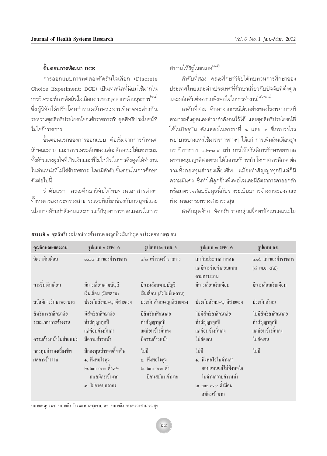#### ู้ <sup>อั</sup>ันตลนการพัฒนา DCF

การออกแบบการทดลองตัดสินใจเลือก (Discrete Choice Experiment: DCE) เป็นเทคนิคที่นิยมใช้มากใน การวิเคราะห์การตัดสินใจเลือกงานของบุคลากรด้านสุขภาพ<sup>(๑๔)</sup> ซึ่งผู้วิจัยได้ปรับโดยกำหนดลักษณะงานที่อาจจะต่างกัน ระหว่างชุดสิทธิประโยชน์ของข้าราชการกับชุดสิทธิประโยชน์ที่ ไม่ให่ข้าราชการ

ขั้นตอนแรกของการออกแบบ คือเริ่มจากการกำหนด ลักษณะงาน และกำหนดระดับของแต่ละลักษณะให้เหมาะสม ทั้งด้านแรงจูงใจที่เป็นเงินและที่ไม่ใช่เงินในการดึงดูดให้ทำงาน ในตำแหน่งที่ไม่ใช่ข้าราชการ โดยมีลำดับขั้นตอนในการศึกษา ดังต่อไงเนื้

ลำดับแรก คณะศึกษาวิจัยได้ทบทวนเอกสารต่างๆ ทั้งหมดของกระทรวงสาธารณสุขที่เกี่ยวข้องกับกลยุทธ์และ นโยบายด้านกำลังคนและการแก้ปัญหาการขาดแคลนในการ ทำงานให้รัฐในชนบท<sup>(๑๕)</sup>

ลำดับที่สอง คณะศึกษาวิจัยได้ทบทวนการศึกษาของ ประเทศไทยและต่างประเทศที่ศึกษาเกี่ยวกับปัจจัยที่ดึงดูด และผลักดันต่อความพึงพอใจในการทำงาน<sup>(๑๖-๑๘)</sup>

ลำดับที่สาม ศึกษาจากกรณีตัวอย่างของโรงพยาบาลที่ สามารถดึงดูดและธำรงกำลังคนไว้ได้ และชุดสิทธิประโยชน์ที่ ใช้ในปัจจุบัน ดังแสดงในตารางที่ ๑ และ ๒ ซึ่งพบว่าโรง ็พยาบาลบางแห่งใช้มาตรการต่างๆ ได้แก่ การเพิ่มเงินเดือนสูง กว่าข้าราชการ ๑.๒-๑.๔ เท่า การให้สวัสดิการรักษาพยาบาล ้ครอบคลุมญาติสายตรง ให้โอกาสก้าวหน้า โอกาสการศึกษาต่อ ี รวมทั้งกองทุนสำรองเลี้ยงชีพ แม้จะทำสัญญาทุกปีแต่ก็มี ความมั่นคง ซึ่งทำให้ลูกจ้างพึงพอใจและมีอัตราการลาออกต่ำ พร้อมตรวจสอบข้อมูลนี้กับร่างระเบียบการจ้างงานของคณะ ทำงานของกระทรวงสาธารณสุข

ลำดับสุดท้าย จัดอภิปรายกลุ่มเพื่อหาข้อเสนอแนะใน

| คุณลักษณะของงาน                                                   | รูปแบบ ๑ รพช. ก                                                                                                  | รูปแบบ ๒ รพช. ข                                                          | ัฐปแบบ ๑ รพช. ค                                                                                                     | รูปแบบ สธ.                                                             |
|-------------------------------------------------------------------|------------------------------------------------------------------------------------------------------------------|--------------------------------------------------------------------------|---------------------------------------------------------------------------------------------------------------------|------------------------------------------------------------------------|
| อัตราเงินเดือน                                                    | ๑.๓๘ เท่าของข้าราชการ                                                                                            | ๑.๒ เท่าของข้าราชการ                                                     | เท่ากับประกาศ กทสธ<br>แต่มีการจ่ายค่าตอบแทน<br>ิตามภาระงาน                                                          | ๑.๑๖ เท่าของข้าราชการ<br>(๗ เม.ย. ๕๔)                                  |
| การขึ้นเงินเดือน                                                  | มีการเลื่อนตามบัญชี<br>เงินเดือน (มีเพดาน)                                                                       | มีการเลื่อนตามบัญชี<br>เงินเดือน (ยังไม่มีเพดาน)                         | มีการเลื่อนเงินเดือน                                                                                                | มีการเลื่อนเงินเคือน                                                   |
| สวัสดิการรักษาพยาบาล                                              | ประกันสังคม+ญาติสายตรง                                                                                           | ประกันสังคม+ญาติสายตรง                                                   | ประกันสังคม+ญาติสายตรง                                                                                              | ประกันสังคม                                                            |
| สิทธิการลาศึกษาต่อ<br>ระยะเวลาการจ้างงาน<br>ความก้าวหน้าในตำแหน่ง | มีสิทธิลาศึกษาต่อ<br>ทำสัญญาทุกปี<br>แต่ค่อนข้างมั่นคง<br>มีความก้าวหน้า                                         | มีสิทธิลาศึกษาต่อ<br>ทำสัญญาทุกปี<br>แต่ค่อนข้างมั่นคง<br>มีความก้าวหน้า | ไม่มีสิทธิลาศึกษาต่อ<br>ทำสัญญาทุกปี<br>แต่ค่อนข้างมั่นคง<br>ไม่ชัดเจน                                              | ไม่มีสิทธิลาศึกษาต่อ<br>ทำสัญญาทุกปี<br>แต่ค่อนข้างมั่นคง<br>ไม่ชัดเจน |
| กองทุนสำรองเลี้ยงชีพ<br>ผลการจ้างงาน                              | มีกองทุนสำรองเลี้ยงชีพ<br>๑. พึ่งพอใจสูง<br>$\omega$ .turn over ຕໍ່າລ $\%$<br>คนสมัครเข้ามาก<br>๑. ไม่ขาดบุคลากร | ใม่มี<br>๑. พึ่งพอใจสูง<br>๒. turn over ต่ำ<br>มีคนสมัครเข้ามาก          | ไม่มี<br>๑. พึ่งพอใจในด้านค่า<br>ตอบแทนแต่ไม่พึงพอใจ<br>ในด้านความก้าวหน้า<br>l๑. turn over ต่ำมีคน<br>สมัครเข้ามาก | ไม่มี                                                                  |

#### *ตารางที่ ๑* ชุดสิทธิประโยชน์การจ้างงานของลูกจ้างเงินบำรุงของโรงพยาบาลชุมชน

หมายเหตุ: รพช. หมายถึง โรงพยาบาลชุมชน, สธ. หมายถึง กระทรวงสาธารณสุข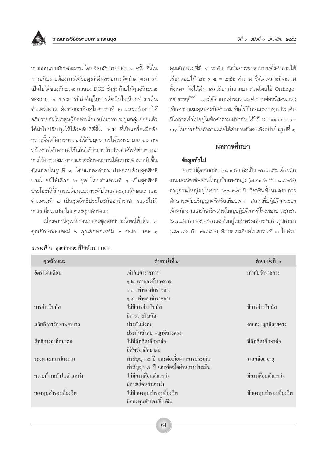คณลักษณะที่มี ๔ ระดับ ดังนั้นควรจะสามารถตั้งคำถามให้ เลือกตอบได้ ๒๖ x ๔ = ๒๕๖ คำถาม ซึ่งไม่เหมาะที่จะถาม ้ทั้งหมด จึงได้มีการสุ่มเลือกคำถามบางส่วนโดยใช้ Orthogonal array <sup>(๑๙)</sup> และได้คำถามจำนวน ๑๖ คำถามต่อหนึ่งคน และ เพื่อความสมดุลของข้อคำถามเพื่อให้ลักษณะงานทุกประเด็น มีโอกาสเข้าไปอยู่ในข้อคำถามเท่าๆกัน ได้ใช้ Orthogonal array ในการสร้างคำถามและได้คำถามดังเช่นตัวอย่างในรูปที่ ๑

#### ผลการศึกษา

## ข้อมูลทั่วไป

พบว่ามีผู้ตอบกลับ ๒๘๓ คน คิดเป็น ๗๐.๗๕% เจ้าพนัก งานและวิชาชีพส่วนใหญ่เป็นเพศหญิง (๗๙.๗% กับ ๘๔.๒%) อายุส่วนใหญ่อยู่ในช่วง ๒๐-๒๕ ปี วิชาชีพทั้งหมดจบการ ้ศึกษาระดับปริญญาตรีหรือเทียบเท่า สถานที่ปฏิบัติงานของ เจ้าพนักงานและวิชาชีพส่วนใหญ่ปฏิบัติงานที่โรงพยาบาลชุมชน (๖๓.๑% กับ ๖๕.๗%) และตั้งอยู่ในจังหวัดเดียวกันกับภูมิลำเนา (๘๒.๘% กับ ๗๔.๕%) ดังรายละเอียดในตารางที่ ๓ ในส่วน

้การออกแบบลักษณะงาน โดยจัดอภิปรายกลุ่ม ๒ ครั้ง ซึ่งใน การอภิปรายต้องการได้ข้อมูลที่มีผลต่อการจัดทำมาตรการที่ เป็นไปได้ของลักษณะงานของ DCE ซึ่งสุดท้ายได้คุณลักษณะ ของงาน ๗ ประการที่สำคัญในการตัดสินใจเลือกทำงานใน ้ตำแหน่งงาน ดังรายละเอียดในตารางที่ ๒ และหลังจากได้ อภิปรายกันในกลุ่มผู้จัดทำนโยบายในการประชุมกลุ่มย่อยแล้ว ได้นำไปปรังปรุงให้ได้ระดับที่ดีขึ้น DCE ที่เป็นเครื่องมือดัง กล่าวนั้นได้มีการทดลองใช้กับบุคลากรในโรงพยาบาล ๑๐ คน หลังจากได้ทดลองใช้แล้วได้นำมาปรับปรุงคำศัพท์ต่างๆและ การให้ความหมายของแต่ละลักษณะงานให้เหมาะสมมากยิ่งขึ้น ดังแสดงในรูปที่ ๑ โดยแต่ละคำถามประกอบด้วยชุดสิทธิ ประโยชน์ให้เลือก ๒ ชุด โดยตำแหน่งที่ ๑ เป็นชุดสิทธิ ประโยชน์ที่มีการเปลี่ยนแปลงระดับในแต่ละคุณลักษณะ และ ตำแหน่งที่ ๒ เป็นชุดสิทธิประโยชน์ของข้าราชการและไม่มี การเปลี่ยนแปลงในแต่ละคุณลักษณะ

เนื่องจากมีคุณลักษณะของชุดสิทธิประโยชน์ทั้งสิ้น ๗ คุณลักษณะและมี ๖ คุณลักษณะที่มี ๒ ระดับ และ ๑

| คุณลักษณะ             | ้ตำแหน่งที่ ๑                                       | ้ตำแหน่งที่ ๒          |
|-----------------------|-----------------------------------------------------|------------------------|
| อัตราเงินเดือน        | เท่ากับข้าราชการ                                    | เท่ากับข้าราชการ       |
|                       | ๑.๒ เท่าของข้าราชการ                                |                        |
|                       | ๑.๓ เท่าของข้าราชการ                                |                        |
|                       | ๑.๔ เท่าของข้าราชการ                                |                        |
| การจ่ายโบนัส          | ไม่มีการจ่ายโบนัส                                   | มีการจ่ายโบนัส         |
|                       | มีการจ่ายโบนัส                                      |                        |
| สวัสดิการรักษาพยาบาล  | ประกันสังคม                                         | ตนเอง+ญาติสายตรง       |
|                       | ประกันสังคม +ญาติสายตรง                             |                        |
| สิทธิการลาศึกษาต่อ    | ใม่มีสิทธิลาศึกษาต่อ                                | มีสิทธิลาศึกษาต่อ      |
|                       | มีสิทธิลาศึกษาต่อ                                   |                        |
| ระยะเวลาการจ้างงาน    | ทำสัญญา ๑ ปี และต่อเมื่อผ่านการประเมิน              | จนเกษียณอายุ           |
|                       | ทำสัญญา ๕ ปี และต่อเมื่อผ่านการประเมิน              |                        |
| ความก้าวหน้าในตำแหน่ง | ไม่มีการเลื่อนตำแหน่ง                               | มีการเลื่อนตำแหน่ง     |
|                       | มีการเลื่อนตำแหน่ง                                  |                        |
| กองทุนสำรองเลี้ยงชีพ  | ไม่มีกองทุนสำรองเลี้ยงชีพ<br>มีกองทุนสำรองเลี้ยงชีพ | มีกองทุนสำรองเลี้ยงชีพ |
|                       |                                                     |                        |

## ดารางที่ ๒ คุณลักษณะที่ใช้พัฒนา DCE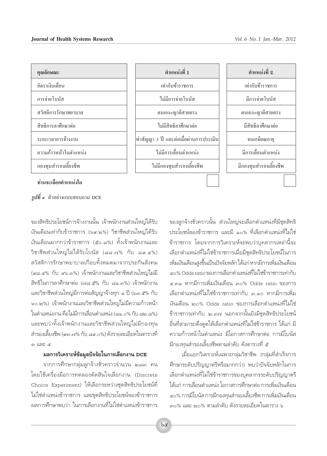

#### *รูปที่ ๑*° ตัวอย่างแบบสอบถาม DCE

ึของสิทธิประโยชน์การจ้างงานนั้น เจ้าพนักงานส่วนใหญ่ได้รับ เงินเดือนเท่ากับข้าราชการ (๖๙.๒%) วิชาชีพส่วนใหญ่ได้รับ เงินเดือนมากกว่าข้าราชการ (๕๐.๘%) ทั้งเจ้าพนักงานและ วิชาชีพส่วนใหญ่ไม่ได้รับโบนัส (๘๘.๗% กับ ๘๙.๔%) สวัสดิการรักษาพยาบาลเกือบทั้งหมดมาจากประกันสังคม (๙๘.๔% กับ ๙๖.๓%) เจ้าพนักงานและวิชาชีพส่วนใหญ่ไม่มี สิทธิในการลาศึกษาต่อ (๗๘.๕% กับ ๘๑.๓%) เจ้าพนักงาน เเละวิชาชีพส่วนใหญ่มีการต่อสัญญาจ้างทุก ๑ ปี (๖๓.๕% กับ ๖๐.๒%) เจ้าพนักงานและวิชาชีพส่วนใหญ่ไม่มีความก้าวหน้า ในตำแหน่งงาน คือไม่มีการเลื่อนตำแหน่ง (๘๑.๐% กับ ๘๒.๘%) และพบว่าทั้งเจ้าพนักงานและวิชาชีพส่วนใหญ่ไม่มีกองทน ี สำรองเลี้ยงชีพ (๙๓.๗% กับ ๘๙.๐%) ดังรายละเอียดในตารางที่  $m$  …

#### **º≈°"√«'‡§√"–Àå¢âÕ¡Ÿ≈ªí®®—¬"π°"√‡≈◊Õ°ß"π DCE**

ู<br>จากการศึกษากลุ่มลูกจ้างชั่วคราวจำนวน ๒๘๓ คน โดยใช้เครื่องมือการทดลองตัดสินใจเลือกงาน (Discrete Choice Experiment) ให้เลือกระหว่างชุดสิทธิประโยชน์ที่ ไม่ใช่ตำแหน่งข้าราชการ และชุดสิทธิประโยชน์ของข้าราชการ ้ผลการศึกษาพบว่า ในการเลือกงานที่ไม่ใช่ตำแหน่งข้าราชการ ึ ของลูกจ้างชั่วคราวนั้น ส่วนใหญ่จะเลือกตำแหน่งที่มีชุดสิทธิ ประโยชน์ของข้าราชการ และมี ๑๐% ที่เลือกตำแหน่งที่ไม่ใช่ ู้ข้าราชการ โดยจากการวิเคราะห์จะพบว่าบุคลากรเหล่านี้จะ เลือกตำแหน่งที่ไม่ใช่ข้าราชการเมื่อมีชุดสิทธิประโยชน์ในการ เพิ่มเงินเดือนสูงขึ้นเป็นปัจจัยหลัก ได้แก่ หากมีการเพิ่มเงินเดือน ๔๐% Odds ratio ของการเลือกตำแหน่งที่ไม่ใช่ข้าราชการเท่ากับ ้∉.๓๑ หากมีการเพิ่มเงินเดือน ๓๐% Odds ratio ของการ เลือกตำแหน่งที่ไม่ใช่ข้าราชการเท่ากับ ๓.๑๐ หากมีการเพิ่ม ้เงินเดือน ๒๐% Odds ratio ของการเลือกตำแหน่งที่ไม่ใช่ ู้ข้าราชการเท่ากับ ๒.๓๗ นอกจากนั้นยังมีชุดสิทธิประโยชน์ ้อื่นที่สามารถดึงดูดให้เลือกตำแหน่งที่ไม่ใช่ข้าราชการ ได้แก่ มี ์ ความก้าวหน้าในตำแหน่ง มีโอกาสการศึกษาต่อ การมีโบนัส ์ มีกองทนสำรองเลี้ยงชีพตามลำดับ ดังตารางที่ *๕* 

ู้ เมื่อแยกวิเคราะห์เฉพาะกลุ่มวิชาชีพ (กลุ่มที่สำเร็จการ ์ศึกษาระดับปริญญาตรีหรือมากกว่า) พบว่าปัจจัยหลักในการ เลือกตำแหน่งที่ไม่ใช่ข้าราชการของบุคลากรระดับปริญญาตรี  $^{\prime\prime}$ ด้แก่ การเลื่อนตำแหน่ง โอกาสการศึกษาต่อ การเพิ่มเงินเดือน ้๔๐% การมีโบนัส การมีกองทนสำรองเลี้ยงชีพ การเพิ่มเงินเดือน คอ% และ ๒๐% ตามลำดับ ดังรายละเอียดในตาราง ๖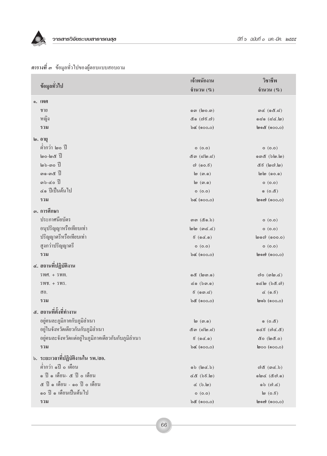

|                                                     | ้เจ้าพนักงาน                                     | วิชาชีพ                                               |
|-----------------------------------------------------|--------------------------------------------------|-------------------------------------------------------|
| ข้อมูลทั่วไป                                        | อำนวน $(\%)$                                     | อำนวน $(\%)$                                          |
| ๑. เพศ                                              |                                                  |                                                       |
| ชาย                                                 | னை (lஹ <b>o</b> .ை)                              | $m$ ໔ (ଚ&.๘)                                          |
| หญิง                                                | ๕෧ (๗ຬ.๗)                                        | ବର୍ଣ (ଟ $\alpha$ .)                                   |
| รวม                                                 | bc (000.0)                                       | @ගෙ ( 000.0)                                          |
|                                                     |                                                  |                                                       |
| ๒. อายุ                                             |                                                  |                                                       |
| ้ต่ำกว่า ๒๐ ปี                                      | o (o.o)                                          | o(0.0)                                                |
| $\mathbb{R}$ and $\mathbb{R}$                       | &ග (෬'๒.෬')                                      | o ගා & (blo.lo)                                       |
| $\omega$ b-mo $\tilde{1}$                           | $\omega$ (๑๐. $\epsilon$ )                       | ๕๕ (๒๗.๒)                                             |
| ෨෧-෨ <b>๕</b> ปี                                    | $\mathsf{I}\omega$ $(\mathfrak{m}.\mathfrak{g})$ | $\omega$ (00.0)                                       |
| ต $b - \notinfty$ ปี                                | $\mathsf{I}\omega$ $(\mathfrak{m}.\mathfrak{g})$ | $o($ o.o $)$                                          |
| ๔๑ ปีเป็นต้นไป                                      | o(0.0)                                           | $($ රී. $o)$ ඹ                                        |
| รวม                                                 | bc (000.0)                                       | $\mathsf{Isom}\left(\mathsf{soo,o}\right)$            |
| ๑. การศึกษา                                         |                                                  |                                                       |
| ประกาศนียบัตร                                       | $\omega$ (composed)                              | o(0.0)                                                |
| อนุปริญญาหรือเทียบเท่า                              | $\mathsf{lab}(\mathsf{mod}.\mathsf{d})$          | o(0.0)                                                |
| ปริญญาตรีหรือเทียบเท่า                              | $5($ ( $6$ $6.$ $0)$ )                           | $\log \omega$ $($ 00.0 $)$                            |
| สูงกว่าปริญญาตรี                                    | o (o.o)                                          | o (o.o)                                               |
| รวม                                                 | bc (000.0)                                       | $\mathsf{Isom}\left(\mathsf{soos},\mathsf{co}\right)$ |
| ๔. สถานที่ปฏิบัติงาน                                |                                                  |                                                       |
| $5MPI. + 5MII.$                                     | ඉ <i>රි</i> (@ග.)                                | $\omega$ o (၈๒.๔)                                     |
| $5W\$ . + $5W5$ .                                   | $\infty$ $(b\omega.$                             | $O((b.\mathcal{B})$ @ so                              |
| ิสอ.                                                | $\xi$ (ගෙ.ය)                                     | d(G.5)                                                |
| รวม                                                 | $b$ & (000.0)                                    | $\omega$                                              |
|                                                     |                                                  |                                                       |
| ๕. สถานที่ตั้งที่ทำงาน                              |                                                  |                                                       |
| อยู่คนละภูมิภาคกับภูมิลำเนา                         | $\mathsf{I}\omega$ $(\mathsf{m}.\mathsf{o})$     | (8.0)                                                 |
| อยู่ในจังหวัดเดียวกันกับภูมิลำเนา                   | $\&$ ທ $(\&$ (ພ $\&$ . $\&$ )                    | $(\mathcal{C}, \mathcal{C})$                          |
| อยู่คนละจังหวัดแต่อยู่ในภูมิภาคเดียวกันกับภูมิลำเนา | $\xi$ ( $g$ $\xi$ . $g$ )                        | ๕๐ (๒๕.๐)                                             |
| รวม                                                 | $b\in (0.00, 0)$                                 | $\mathsf{loo}\$ $(\mathsf{soo.o})$                    |
| <b>b. ระยะเวลาที่ปฏิบัติงานใน รพ./สอ.</b>           |                                                  |                                                       |
| ้ต่ำกว่า ๑ปี ๐ เดือน                                | (d.d)                                            | നി $\mathcal{E}$ (ത $\mathcal{C}.$ )                  |
| ๑ ปี ๑ เดือน- ๕ ปี ๐ เดือน                          | $d$ & $(b5d)$                                    | oloc (&ෆ.o)                                           |
| ๕ ปี ๑ เดือน - ๑๐ ปี ๐ เดือน                        | (d.6)                                            | ໑ $b$ $(\omega$ . $d)$                                |
| ๑๐ ปี ๑ เดือนเป็นต้นไป                              | o(0.0)                                           | $\ln(0.5)$                                            |
| รวม                                                 | $b$ & (000.0)                                    | $\mathsf{Isom}\nolimits$ (900.0)                      |

# *ตารางที่ ๑* ข้อมูลทั่วไปของผู้ตอบแบบสอบถาม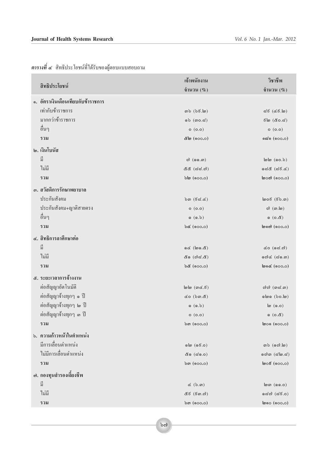|                                    | ้เจ้าพนักงาน                           | วิชาชีพ                                       |
|------------------------------------|----------------------------------------|-----------------------------------------------|
| สิทธิประโยชน์                      | อำนวน $(\%)$                           | อำนวน $(\%)$                                  |
| ๑. อัตราเงินเดือนเทียบกับข้าราชการ |                                        |                                               |
| เท่ากับข้าราชการ                   | ග <b>b</b> (bc.lo)                     | ದ $\xi$ (៤ $\xi$ .๒)                          |
| มากกว่าข้าราชการ                   | $\circ$ වා (ග $\circ$ .ය)              | 6ිම (ඊ0.ය)                                    |
| อื่นๆ                              | o(0.0)                                 | o (o.o)                                       |
| รวม                                | ๕๒ (๑๐๐.๐)                             | ෧෬෭෧ (෧෮෮෬ඁ)                                  |
| ๒. เงินโบนัส                       |                                        |                                               |
| ปี                                 | $\omega$ (๑๑.๓)                        | $\omega$ ( $\omega$ .)                        |
| ไม่มี                              | ๕๕ (๘๘.๗)                              | ೂದೆ (ದ $\vec{e}$ . $\vec{e}$ )                |
| รวม                                | bb(600.0)                              | യാ $\alpha$ (റൊ.ഠ)                            |
| ๑. สวัสดิการรักษาพยาบาล            |                                        |                                               |
| ประกันสังคม                        | $\delta$ ດ (ອິ $\approx$ . $\approx$ ) | $\textsf{log}(50.5)$                          |
| ประกันสังคม+ญาติสายตรง             | o (o.o)                                | $\omega$ $(\omega, \omega)$                   |
| อื่นๆ                              | (6.5)                                  | (6.6)                                         |
| รวม                                | $b\in (0.00, 0)$                       | $\mathsf{load}\ (\mathsf{soo.o})$             |
| ๔. สิทธิการลาศึกษาต่อ              |                                        |                                               |
| ปี                                 | $G \times (S \times S)$                | $\vec{\alpha}$ o (๑๘.๗)                       |
| ไม่มี                              | ๕๑ (๗ಿದೆ.๕)                            | രെ $d$ ( $d$ െ)                               |
| รวม                                | $b$ ໕ (ი $0.0$ ი)                      | ๒๑๔ (๑๐๐.๐)                                   |
| ๕. ระยะเวลาการจ้างงาน              |                                        |                                               |
| ต่อสัญญาอัตโนมัติ                  | $\mathsf{lab}(\mathfrak{ad.5})$        | റിറി $($ നെ $($ നി $($                        |
| ี ต่อสัญญาจ้างทุกๆ ๑ ปี            | &o (bm.&)                              | லிலை (bo.l)                                   |
| ต่อสัญญาจ้างทุกๆ ๒ ปี              | (6.5)                                  | $\ln(6.0)$                                    |
| ต่อสัญญาจ้างทุกๆ ๑ ปี              | o (o.o)                                | ෙ(ර.අ)                                        |
| รวม                                | bm(600.0)                              | $\mathsf{loo}\ (\mathsf{soo.o})$              |
| ึ่ง. ความก้าวหน้าในตำแหน่ง         |                                        |                                               |
| มีการเลื่อนตำแหน่ง                 | லி (செ.்)                              | ຫ $b$ $(\circ \circ \circ \cdot \circ \circ)$ |
| ไม่มีการเลื่อนตำแหน่ง              | ๕๑ (๘๑.๐)                              | ගේග $($ ය්ෂ.ය් $)$                            |
| รวม                                | bm(600.0)                              | $\phi$ o $\delta$ (၈၀၀.၀)                     |
| ๗. กองทุนสำรองเลี้ยงชีพ            |                                        |                                               |
| มี                                 | $\propto$ $(b.\varpi)$                 | $\mathsf{lcm}$ (๑๑.๐)                         |
| ไม่มี                              | ๕៩ (៩๓.๗)                              | odಾ (ದ <b>೯.</b> ೦)                           |
| รวม                                | bm(600.0)                              | $\mathsf{b}$ ෧ $\circ$ (෧ $\circ$ ං.)         |
|                                    |                                        |                                               |

 $\overrightarrow{p}$ กรางที่ ๔ สิทธิประโยชน์ที่ได้รับของผู้ตอบแบบสอบถาม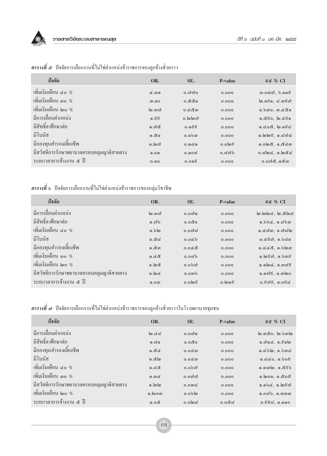

| ปัจจัย                                   | OR.             | SE.       | P-value         | ಕ& % $CI$                                   |
|------------------------------------------|-----------------|-----------|-----------------|---------------------------------------------|
| เพิ่มเงินเดือน ๔๐ $\%$                   | <u>&amp;.ගඉ</u> | 0.റിറിറ   | 0.000           |                                             |
| เพิ่มเงินเคือน ๓๐ $\%$                   | <u>ை</u>        | ಂಸಿಸಿ.ಂ   | 0.000           | $\omega$ .ඉ $\epsilon$ ඉ. ៤.ග $\epsilon$ ෆ් |
| เพิ่มเงินเดือน ๒๐ $\%$                   | ကြွ ကေလ         | $0.6$ cm  | 0.000           | ෧. $b$ ෨෮, ෨.ඦ෮ඁ෧                           |
| มีการเลื่อนตำแหน่ง                       | ೂ.ಕಕ            | o.loloc)  | 0.000           | ෧.๕ <b>෫ඁ</b> ෮, ๒.๔෫෧                      |
| มีสิทธิ์ลาศึกษาต่อ                       | ෙෆ්රෑ           | 0.ඉ೯೯     | 0.000           | $0.608,$ 0.056                              |
| ู มีโบนัส                                | ෙයි ඉ           | $O.G$ විග | 0.000           | $\circ$ . bb $\circ$ , $\circ$ . and        |
| มีกองทุนสำรองเลี้ยงชีพ                   | ெ. ௌ            | 0.000     | o.olog          | $0.0$ løck, $0.0$ ka                        |
| มีสวัสดิการรักษาพยาบาลครอบคลุมญาติสายตรง | 0.00            | $0.00$ ದ  | 0. $\approx$ ೧) | $o$ . $d$ loc, $o$ .locc                    |
| ระยะเวลาการจ้างงาน ๕ ปี                  | 0.00            | 0.096     | 0.000           | $0.0$ ෆියිදේග                               |

# **ตารางที่ ๕** ปัจจัยการเลือกงานที่ไม่ใช่ตำแหน่งข้าราชการของลูกจ้างชั่วคราว

# **ตารางที่** ๖ ปัจจัยการเลือกงานที่ไม่ใช่ตำแหน่งข้าราชการของกลุ่มวิชาชีพ

| ปัจจัย                                   | OR.              | SE.               | <b>P-value</b> | ಕ& % $\rm CI$              |
|------------------------------------------|------------------|-------------------|----------------|----------------------------|
| มีการเลื่อนตำแหน่ง                       | ါတ္ အက္          | $0.0$ ගි          | 0.000          | lo.loloc, lo.cloc          |
| มีสิทธิ์ลาศึกษาต่อ                       | $\circ$ .ගිර්    | 0.080             | 0.000          | $0.b$ bc, $0.d$ b $0$      |
| เพิ่มเงินเดือน ๔๐ $\%$                   | ெல் ம            | 0.00 ದ            | 0.000          | ෧.๔๗෨, ෧.๗๘๒               |
| มีโบนัส                                  | ೂ.&ನ             | 0.06 <sub>b</sub> | 0.000          | 0.650, 0.550               |
| มีกองทุนสำรองเลี้ยงชีพ                   | .ෙ.අග            | 0.008             | 0.000          | $0.0006$ , $0.500$         |
| เพิ่มเงินเดือน ๓๐ $\%$                   | 0.68             | 0.0 $\approx$ b   | 0.000          | <u>ென்ஸ், ெ</u>            |
| เพิ่มเงินเดือน ๒๐ $\%$                   | ෧.๒๕             | 0.0 <sub>b</sub>  | 0.000          | $0.0$ lø $\tt C$ , $0.085$ |
| มีสวัสดิการรักษาพยาบาลครอบคลุมญาติสายตรง | $0.\omega$       | $0.0$ @ $b$       | 0.000          | ெலிசி, வெங்ல               |
| ระยะเวลาการจ้างงาน ๕ ปี                  | 0.0 <sub>W</sub> | o.olดธี           | o.loog         | 0.595, 0.056               |

# *ตารางที่ ๗* ปัจจัยการเลือกงานที่ไม่ใช่ตำแหน่งข้าราชการของลูกจ้างชั่วคราวในโรงพยาบาลชุมชน

| ปัจจัย                                   | OR.          | SE.              | P-value | ಕ& % $\mathrm{CI}$                                            |
|------------------------------------------|--------------|------------------|---------|---------------------------------------------------------------|
| มีการเลื่อนตำแหน่ง                       | $\ln \alpha$ | $0.0$ ෆිග        | 0.000   | <u>   ම.ගායී o.   ම. b ග  ම</u>                               |
| มีสิทธิ์ลาศึกษาต่อ                       | 0.50         | 0.0000           | 0.000   | $\circ$ . $\circ$ $\circ$ . $\circ$ . $\circ$ $\circ$ $\circ$ |
| มีกองทุนสำรองเลี้ยงชีพ                   | 0.86         | $0.0$ @ $\omega$ | 0.000   | $0.6$ blo, $0.5$ ond                                          |
| มีโบนัส                                  | ේ න          | $0.0$ @ $\omega$ | 0.000   | 0.000, 0.005                                                  |
| เพิ่มเงินเดือน ๔๐ $\%$                   | 0.68         | 0.0 <sub>b</sub> | 0.000   | ෧.෨෨෦෨෨෨෬෭෭                                                   |
| เพิ่มเงินเดือน ๑๐ $\%$                   | ൈ $\alpha$   | $O.O$ നിനി       | 0.000   | ෧.෨෧෧෧෬ඁ෭෮෮                                                   |
| มีสวัสดิการรักษาพยาบาลครอบคลุมญาติสายตรง | ெ. வெ        | $0.0$ $\alpha$   | 0.000   | $0.0$ bc, $0.05$                                              |
| เพิ่มเงินเดือน ๒๐ $\%$                   | ெ. மன        | 0.0              | 0.000   | ෧.෮෬෯, ෧.෨෨෨                                                  |
| ระยะเวลาการจ้างงาน ๕ ปี                  | 0.0 දී       | $0.0$ log        | 0.0 ಡೆದ | 0.86ನ, ೂ.ೂಂ                                                   |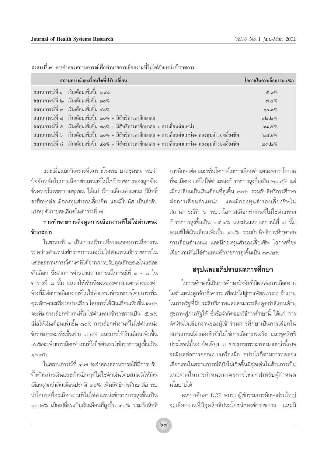| ิสถานการณ์และเงื่อนไขที่ปรับเปลี่ยน                                                                       | โอกาสในการเลือกงาน $(\%)$ |
|-----------------------------------------------------------------------------------------------------------|---------------------------|
| ิ สถานการณ์ที่ ๑   เงินเดือนเพิ่มขึ้น ๒๐ $\%$                                                             | &්.ග $%$                  |
| สถานการณ์ที่ ๒ เงินเดือนเพิ่มขึ้น ๑๐ $\%$                                                                 | ຕ $.$ ໔%                  |
| ิ สถานการณ์ที่ ๑ เงินเดือนเพิ่มขึ้น ๔๐%                                                                   | ෧෮.෨ $\%$                 |
| ี สถานการณ์ที่ ๔ เงินเดือนเพิ่มขึ้น ๑๐% + มีสิทธิการลาศึกษาต่อ                                            | $ol.10\%$                 |
| สถานการณ์ที่ ๕   เงินเดือนเพิ่มขึ้น ๑๐% + มีสิทธิการลาศึกษาต่อ + การเลื่อนตำแหน่ง                         | $\log 20$                 |
| ี สถานการณ์ที่ ๖   เงินเดือนเพิ่มขึ้น ๓๐% + มีสิทธิการลาศึกษาต่อ + การเลื่อนตำแหน่ง+ กองทุนสำรองเลี้ยงชีพ | $\log 5\%$                |
| ี สถานการณ์ที่ ๗   เงินเดือนเพิ่มขึ้น ๔๐% + มีสิทธิการลาศึกษาต่อ + การเลื่อนตำแหน่ง+ กองทุนสำรองเลี้ยงชีพ | ດກ.ໄອ $\%$                |

ี <mark>ตารางที่ ๙</mark> การจำลองสถานการณ์เพื่อทำนายการเลือกงานที่ไม่ใช่ตำแหน่งข้าราชการ

และเมื่อแยกวิเคราะห์เฉพาะโรงพยาบาลชุมชน พบว่า ปัจจัยหลักในการเลือกตำแหน่งที่ไม่ใช่ข้าราชการของลูกจ้าง ้ชั่วคราวโรงพยาบาลชุมชน ได้แก่ มีการเลื่อนตำแหน่ง มีสิทธิ์ ลาศึกษาต่อ มีกองทุนสำรองเลี้ยงชีพ และมีโบนัส เป็นลำดับ แรกๆ ดังรายละเอียดในตารางที่ ๗

## การทำนายการดึงดูดการเลือกงานที่ไม่ใช่ตำแหน่ง ข้าราชการ

ในตารางที่ ๙ เป็นการเปรียบเทียบผลของการเลือกงาน ระหว่างตำแหน่งข้าราชการและไม่ใช่ตำแหน่งข้าราชการใน แต่ละสถานการณ์ต่างๆที่ได้จากการปรับคุณลักษณะในแต่ละ ตัวเลือก ซึ่งจากการจำลองสถานการณ์ในกรณีที่ ๑ - ๓ ใน ตารางที่ ๘ นั้น แสดงให้เห็นถึงผลของความแตกต่างของค่า จ้างที่มีต่อการเลือกงานที่ไม่ใช่ตำแหน่งข้าราชการโดยการเพิ่ม คุณลักษณะเพียงอย่างเดียว โดยการให้เงินเดือนเพิ่มขึ้น ๒๐% จะเพิ่มการเลือกทำงานที่ไม่ใช่ตำแหน่งข้าราชการเป็น ๕.๓% เมื่อให้เงินเดือนเพิ่มขึ้น ๓๐% การเลือกทำงานที่ไม่ใช่ตำแหน่ง ข้าราชการจะเพิ่มขึ้นเป็น ๗.๔% และการให้เงินเดือนเพิ่มขึ้น ๔๐%จะเพิ่มการเลือกทำงานที่ไม่ใช่ตำแหน่งข้าราชการสูงขึ้นเป็น െ. സ<sup>%</sup>

ในสถานการณ์ที่ ๔-๗ จะจำลองสถานการณ์ที่มีการปรับ ทั้งด้านการเงินและด้านอื่นๆที่ไม่ใช่ตัวเงินโดยสมมติให้เงิน เดือนสงกว่าเงินเดือนปรกติ ๓๐% เพิ่มสิทธิการศึกษาต่อ พบ ว่าโอกาสที่จะเลือกงานที่ไม่ใช่ตำแหน่งข้าราชการสูงขึ้นเป็น ๑๒.๒% เมื่อเปลี่ยนเป็นเงินเดือนที่สูงขึ้น ๓๐% รวมกับสิทธิ

้การศึกษาต่อ และเพิ่มโอกาสในการเลื่อนตำแหน่งพบว่าโอกาส ้ที่จะเลือกงานที่ไม่ใช่ตำแหน่งข้าราชการสูงขึ้นเป็น ๒๑.๕% แต่ เมื่อเปลี่ยนเป็นเงินเดือนที่สูงขึ้น ๓๐% รวมกับสิทธิการศึกษา ต่อการเลื่อนตำแหน่ง และมีกองทุนสำรองเลี้ยงชีพใน สถานการณ์ที่ ๖ พบว่าโอกาสเลือกทำงานที่ไม่ใช่ตำแหน่ง ข้าราชการสูงขึ้นเป็น ๒๕.๙% และส่วนสถานการณ์ที่ ๗ นั้น สมมติให้เงินเดือนเพิ่มขึ้น ๔๐% รวมกับสิทธิการศึกษาต่อ การเลื่อนตำแหน่ง และมีกองทุนสำรองเลี้ยงชีพ โอกาสที่จะ เลือกงานที่ไม่ใช่ตำแหน่งข้าราชการสูงขึ้นเป็น ๓๓.๒%

## ้สรุปและอภิปรายผลการศึกษา

ในการศึกษานี้เป็นการศึกษาปัจจัยที่มีผลต่อการเลือกงาน ในตำแหน่งลูกจ้างชั่วคราว เพื่อนำไปสู่การพัฒนาระบบจ้างงาน ในภาครัฐที่มีประสิทธิภาพและสามารถดึงดูดกำลังคนด้าน สุขภาพสู่ภาครัฐได้ ซึ่งข้อจำกัดของวิธีการศึกษานี้ ได้แก่ การ ตัดสินใจเลือกงานของผู้เข้าร่วมการศึกษาเป็นการเลือกใน ิสถานการณ์จำลองซึ่งยังไม่ใช่การเลือกงานจริง และชุดสิทธิ ประโยชน์นั้นจำกัดเพียง ๗ ประการเพราะหากมากกว่านี้อาจ จะมีผลต่อการออกแบบเครื่องมือ อย่างไรก็ตามการทดลอง เลือกงานในสถานการณ์ที่ยังไม่เกิดขึ้นมีจุดเด่นในด้านการเป็น แนวทางในการกำหนดมาตรการใหม่ๆสำหรับผู้กำหนด นโยบายได้

ผลการศึกษา DCE พบว่า ผู้เข้าร่วมการศึกษาส่วนใหญ่ จะเลือกงานที่มีชุดสิทธิประโยชน์ของข้าราชการ และมี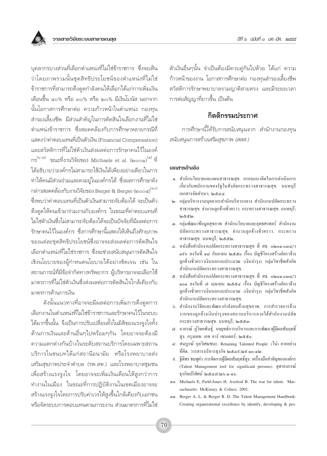

บคลากรบางส่วนที่เลือกตำแหน่งที่ไม่ใช่ข้าราชการ ซึ่งจะเห็น ว่าโดยภาพรวมนั้นชุดสิทธิประโยชน์ของตำแหน่งที่ไม่ใช่ ข้าราชการที่สามารถดึงดูดกำลังคนให้เลือกได้แก่การเพิ่มเงิน เดือนขึ้น ๔๐% หรือ ๓๐% หรือ ๒๐% มีเงินโบนัส นอกจาก นั้นโอกาสการศึกษาต่อ ความก้าวหน้าในตำแหน่ง กองทุน สำรองเลี้ยงชีพ มีส่วนสำคัญในการตัดสินใจเลือกงานที่ไม่ใช่ ตำแหน่งข้าราชการ ซึ่งสอดคล้องกับการศึกษาหลายกรณีที่ แสดงว่าค่าตกบแทนที่เป็นตัวเงิน (Financial Compensation) และสวัสดิการที่ไม่ใช่ตัวเงินส่งผลต่อการรักษาคนไว้ในองค์ กร<sup>(๖-๘)</sup> ขณะที่งานวิจัยของ Michaels et al. (๒๐๐๑)<sup>(๙)</sup> ที่ ได้อธิบายว่าองค์กรไม่สามารถใช้เงินได้เพียงอย่างเดียวในการ ทำให้คนมีส่วนร่วมและคงอย่ในองค์กรได้ ซึ่งผลการศึกษาดัง กล่าวสอดคล้องกับงานวิจัยของ Berger & Berger (๒๐๐๔) (๑๐) ซึ่งพบว่าค่าตอบแทนที่เป็นตัวเงินสามารถจับต้องได้ จะเป็นตัว ดึงดูดให้คนเข้ามาร่วมงานกับองค์กร ในขณะที่ค่าตอบแทนที่ ไม่ใช่ตัวเงินซึ่งไม่สามารถจับต้องได้จะเป็นปัจจัยที่มีผลต่อการ รักษาคนไว้ในองค์กร ซึ่งการศึกษานี้แสดงให้เห็นถึงศักยภาพ ของแต่ละชดสิทธิประโยชน์ซึ่งอาจจะส่งผลต่อการตัดสินใจ เลือกตำแหน่งที่ไม่ใช่ราชการ ซึ่งจะช่วยสนับสนุนการตัดสินใจ เชิงนโยบายของผู้กำหนดนโยบายได้อย่างชัดเจน เช่น ใน สถานการณ์ที่มีข้อจำกัดทางทรัพยากร ผ้บริหารอาจจะเลือกใช้ มาตรการที่ไม่ให่ตัวเงินซึ่งส่งผลต่อการตัดสินใจใกล้เคียงกับ มาตรการด้านการเงิน

ดังนั้นแนวทางที่อาจจะมีผลต่อการเพิ่มการดึงดูดการ เลือกงานในตำแหน่งที่ไม่ใช่ข้าราชการและรักษาคนไว้ในระบบ ได้มากขึ้นนั้น จึงเป็นการปรับเปลี่ยนทั้งในมิติของแรงจูงใจทั้ง ้ด้านการเงินและด้านอื่นๆไปพร้อมๆกัน โดยอาจจะต้องมื ความแตกต่างกันบ้างในระดับสถานบริการโดยเฉพาะสถาน บริการในชนบทได้แก่สถานือนามัย หรือโรงพยาบาลส่ง เสริมสุขภาพประจำตำบล (รพ.สต.) และโรงพยาบาลชุมชน เพื่อสร้างแรงจูงใจ โดยอาจจะเพิ่มเงินเดือนให้สูงกว่าการ ทำงานในเมือง ในขณะที่การปฏิบัติงานในเขตเมืองอาจจะ สร้างแรงจูงใจโดยการปรับค่าเวรให้สูงขึ้นใกล้เคียงกับเอกชน หรือจัดระบบการตอบแทนตามภาระงาน ส่วนมาตรการที่ไม่ใช่ ้ตัวเงินอื่นๆนั้น จำเป็นต้องมีควบคู่กันไปด้วย ได้แก่ ความ ก้าวหน้าของงาน โอกาสการศึกษาต่อ กองทุนสำรองเลี้ยงชีพ สวัสดิการรักษาพยาบาลรวมฌาติสายตรง และมีระยะเวลา การต่อสัญญาที่ยาวขึ้น เป็นต้น

## กิตติกรรมประกาศ

การศึกษานี้ได้รับการสนับสนนจาก สำนักงานกองทน สนับสนุนการสร้างเสริมสุขภาพ (สสส.)

#### เอกสารอ้างอิง

- ๑. สำนักนโยบายและแผนสาธารณสุข. กรอบแนวคิดในการดำเนินการ เกี่ยวกับพนักงานของรัฐในสังกัดกระทรวงสาธารณสุข. นนทบุรี เอกสารอัคสำเนา: ๒๕๔๔.
- ๒. กลุ่มบริหารงานบุคลากรสำนักบริหารกลาง สำนักงานปลัดกระทรวง สาธารณสุข. จำนวนลูกจ้างชั่วคราว. กระทรวงสาธารณสุข. นนทบุรี;  $\mathfrak{g}$ & $\mathfrak{g}$
- ๑. กลุ่มพัฒนาข้อมูลสุขภาพ สำนักนโยบายและยุทธศาสตร์ สำนักงาน ปลัดกระทรวงสาธารณสุข. จำนวนลูกจ้างชั่วคราว. กระทรวง สาธารณสุข. นนทบุรี; ๒๕๕๒.
- ๔. หนังสือสำนักงานปลัดกระทรวงสาธารณสุข ที่ สธ. ๐๒๐๑.๐๓๔/ว ๑ธอ ลงวันที่ ๑๘ กันยายน ๒๕๕๐ เรื่อง บัญชีโครงสร้างอัตราจ้าง ลูกจ้างชั่วคราวเงินนอกงบประมาณ (เงินบำรุง) กลุ่มวิชาชีพสังกัด สำนักงานปลัดกระทรวงสาธารณสุข.
- ๕. หนังสือสำนักงานปลัดกระทรวงสาธารณสข ที่ สธ. ๐๒๐๑.๐๓๔/ว ๑๐๑ ลงวันที่ ๗ เมษายน ๒๕๕๔ เรื่อง บัญชีโครงสร้างอัตราจ้าง ลูกจ้างชั่วคราวเงินนอกงบประมาณ (เงินบำรุง) กลุ่มวิชาชีพสังกัด สำนักงานปลัดกระทรวงสาธารณสุข.
- ๖. สำนักงานวิจัยและพัฒนากำลังคนด้านสุขภาพ. การสำรวจการจ้าง งานของลูกจ้างเงินบำรุงของสถานบริการภายใต้สำนักงานปลัด กระทรวงสาธารณสุข. นนทบุรี; ๒๕๕๑.
- ๗. อาภรณ์ ภู่วิทยพันธุ์. กลยุทธ์การบริหารและการพัฒนาผู้มีผลสัมฤทธิ์ สูง. กรุงเทพ: เอช อาร์ เซนเตอร์; ๒๕๕๐.
- ๘. สมบูรณ์ กุลวิเศษชนะ. Retaining Talented People: (ใม่) ยากอย่าง ที่คิด. วารสารบริหารธรกิจ ๒๕๔ธฺ:๒ธฺ:๑๐-๑๒.
- ่ ៩. ฐิติพร ชมพูคำ. การจัดการผู้มีผลสัมฤทธิ์สูง : เครื่องมือสำคัญขององค์กร (Talent Management tool for significant persons). จพาลงกรณ์ ธรกิจปริทัศน์ ๒๕๔๗;๒๖:๑-๑๖.
- 60. Michaels E, Field-Jones H, Axelrod B. The war for talent. Massachusetts: McKinsey & Colnce; 2001.
- 66. Berger A. L. & Berger R. D. The Talent Management Handbook: Creating organizational excellence by identify, developing & pro-